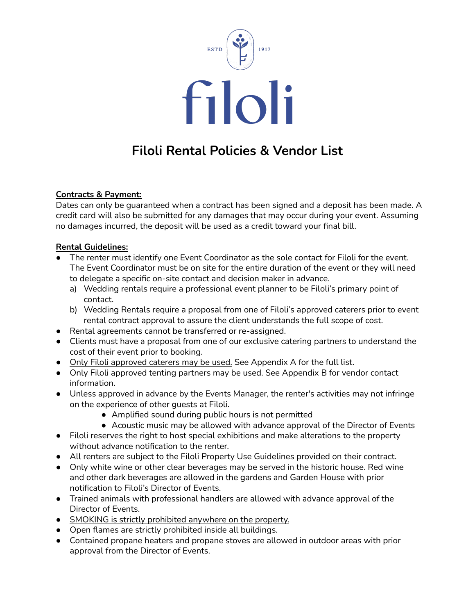

# **Filoli Rental Policies & Vendor List**

### **Contracts & Payment:**

Dates can only be guaranteed when a contract has been signed and a deposit has been made. A credit card will also be submitted for any damages that may occur during your event. Assuming no damages incurred, the deposit will be used as a credit toward your final bill.

#### **Rental Guidelines:**

- The renter must identify one Event Coordinator as the sole contact for Filoli for the event. The Event Coordinator must be on site for the entire duration of the event or they will need to delegate a specific on-site contact and decision maker in advance.
	- a) Wedding rentals require a professional event planner to be Filoli's primary point of contact.
	- b) Wedding Rentals require a proposal from one of Filoli's approved caterers prior to event rental contract approval to assure the client understands the full scope of cost.
- Rental agreements cannot be transferred or re-assigned.
- Clients must have a proposal from one of our exclusive catering partners to understand the cost of their event prior to booking.
- Only Filoli approved caterers may be used. See Appendix A for the full list.
- Only Filoli approved tenting partners may be used. See Appendix B for vendor contact information.
- Unless approved in advance by the Events Manager, the renter's activities may not infringe on the experience of other guests at Filoli.
	- Amplified sound during public hours is not permitted
	- Acoustic music may be allowed with advance approval of the Director of Events
- Filoli reserves the right to host special exhibitions and make alterations to the property without advance notification to the renter.
- All renters are subject to the Filoli Property Use Guidelines provided on their contract.
- Only white wine or other clear beverages may be served in the historic house. Red wine and other dark beverages are allowed in the gardens and Garden House with prior notification to Filoli's Director of Events.
- Trained animals with professional handlers are allowed with advance approval of the Director of Events.
- SMOKING is strictly prohibited anywhere on the property.
- Open flames are strictly prohibited inside all buildings.
- Contained propane heaters and propane stoves are allowed in outdoor areas with prior approval from the Director of Events.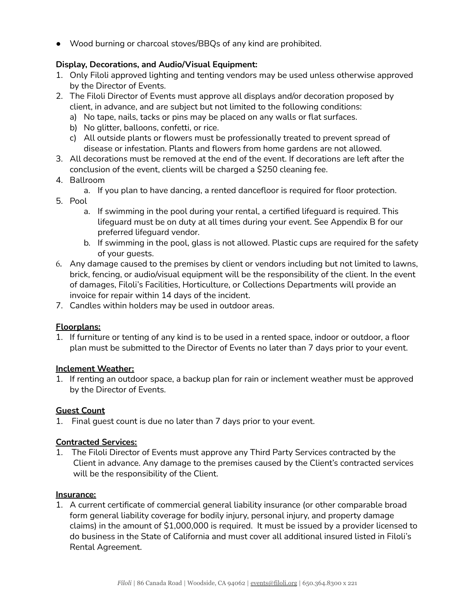● Wood burning or charcoal stoves/BBQs of any kind are prohibited.

## **Display, Decorations, and Audio/Visual Equipment:**

- 1. Only Filoli approved lighting and tenting vendors may be used unless otherwise approved by the Director of Events.
- 2. The Filoli Director of Events must approve all displays and/or decoration proposed by client, in advance, and are subject but not limited to the following conditions:
	- a) No tape, nails, tacks or pins may be placed on any walls or flat surfaces.
	- b) No glitter, balloons, confetti, or rice.
	- c) All outside plants or flowers must be professionally treated to prevent spread of disease or infestation. Plants and flowers from home gardens are not allowed.
- 3. All decorations must be removed at the end of the event. If decorations are left after the conclusion of the event, clients will be charged a \$250 cleaning fee.
- 4. Ballroom
	- a. If you plan to have dancing, a rented dancefloor is required for floor protection.
- 5. Pool
	- a. If swimming in the pool during your rental, a certified lifeguard is required. This lifeguard must be on duty at all times during your event. See Appendix B for our preferred lifeguard vendor.
	- b. If swimming in the pool, glass is not allowed. Plastic cups are required for the safety of your guests.
- 6. Any damage caused to the premises by client or vendors including but not limited to lawns, brick, fencing, or audio/visual equipment will be the responsibility of the client. In the event of damages, Filoli's Facilities, Horticulture, or Collections Departments will provide an invoice for repair within 14 days of the incident.
- 7. Candles within holders may be used in outdoor areas.

#### **Floorplans:**

1. If furniture or tenting of any kind is to be used in a rented space, indoor or outdoor, a floor plan must be submitted to the Director of Events no later than 7 days prior to your event.

#### **Inclement Weather:**

1. If renting an outdoor space, a backup plan for rain or inclement weather must be approved by the Director of Events.

#### **Guest Count**

1. Final guest count is due no later than 7 days prior to your event.

#### **Contracted Services:**

1. The Filoli Director of Events must approve any Third Party Services contracted by the Client in advance. Any damage to the premises caused by the Client's contracted services will be the responsibility of the Client.

#### **Insurance:**

1. A current certificate of commercial general liability insurance (or other comparable broad form general liability coverage for bodily injury, personal injury, and property damage claims) in the amount of \$1,000,000 is required. It must be issued by a provider licensed to do business in the State of California and must cover all additional insured listed in Filoli's Rental Agreement.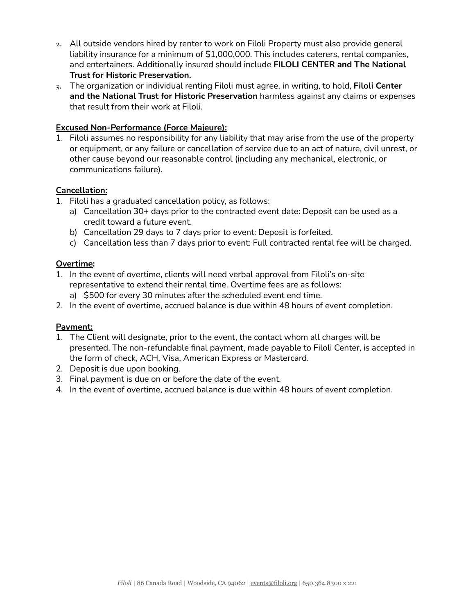- 2. All outside vendors hired by renter to work on Filoli Property must also provide general liability insurance for a minimum of \$1,000,000. This includes caterers, rental companies, and entertainers. Additionally insured should include **FILOLI CENTER and The National Trust for Historic Preservation.**
- 3. The organization or individual renting Filoli must agree, in writing, to hold, **Filoli Center and the National Trust for Historic Preservation** harmless against any claims or expenses that result from their work at Filoli.

#### **Excused Non-Performance (Force Majeure):**

1. Filoli assumes no responsibility for any liability that may arise from the use of the property or equipment, or any failure or cancellation of service due to an act of nature, civil unrest, or other cause beyond our reasonable control (including any mechanical, electronic, or communications failure).

# **Cancellation:**

- 1. Filoli has a graduated cancellation policy, as follows:
	- a) Cancellation 30+ days prior to the contracted event date: Deposit can be used as a credit toward a future event.
	- b) Cancellation 29 days to 7 days prior to event: Deposit is forfeited.
	- c) Cancellation less than 7 days prior to event: Full contracted rental fee will be charged.

#### **Overtime:**

- 1. In the event of overtime, clients will need verbal approval from Filoli's on-site representative to extend their rental time. Overtime fees are as follows:
	- a) \$500 for every 30 minutes after the scheduled event end time.
- 2. In the event of overtime, accrued balance is due within 48 hours of event completion.

# **Payment:**

- 1. The Client will designate, prior to the event, the contact whom all charges will be presented. The non-refundable final payment, made payable to Filoli Center, is accepted in the form of check, ACH, Visa, American Express or Mastercard.
- 2. Deposit is due upon booking.
- 3. Final payment is due on or before the date of the event.
- 4. In the event of overtime, accrued balance is due within 48 hours of event completion.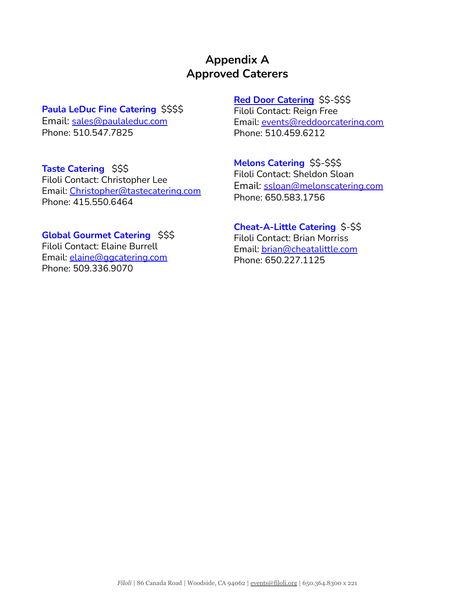# **Appendix A Approved Caterers**

# **Paula LeDuc Fine [Catering](https://www.paulaleduc.com/)** \$\$\$\$

Email: [sales@paulaleduc.com](mailto:sales@paulaleduc.com) Phone: 510.547.7825

# **Taste [Catering](http://www.tastecatering.com/)** \$\$\$

Filoli Contact: Christopher Lee Email: [Christopher@tastecatering.com](mailto:Christopher@tastecatering.com) Phone: 415.550.6464

# **Global [Gourmet](https://www.ggcatering.com/) Catering** \$\$\$

Filoli Contact: Elaine Burrell Email: [elaine@ggcatering.com](mailto:elaine@ggcatering.com) Phone: 509.336.9070

# **Red Door [Catering](http://www.reddoorcatering.com/)** [\\$\\$-\\$\\$\\$](https://www.melonscatering.com/#page1)

Filoli Contact: Reign Free Email: [events@reddoorcatering.com](mailto:events@reddoorcatering.com) Phone: 510.459.6212

# **Melons [Catering](https://www.melonscatering.com/#page1)** \$\$-\$\$\$

Filoli Contact: Sheldon Sloan Email: [ssloan@melonscatering.com](mailto:ssloan@melonscatering.com) Phone: 650.583.1756

#### **[Cheat-A-Little](https://cheatalittle.com/) Catering** \$-\$\$ Filoli Contact: Brian Morriss

Email: [brian@cheatalittle.com](http://brian@cheatalittle.com) Phone: 650.227.1125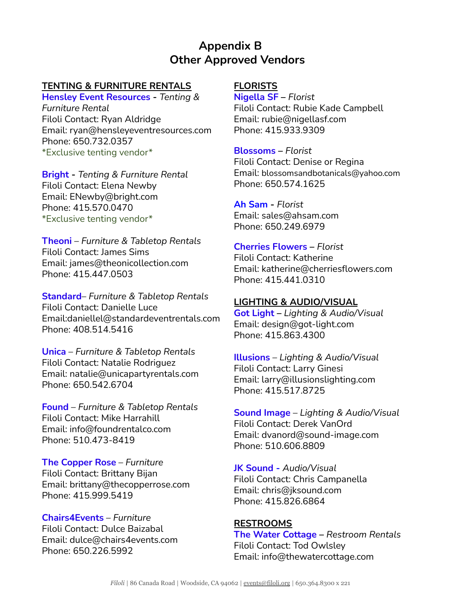# **Appendix B Other Approved Vendors**

# **TENTING & FURNITURE RENTALS**

**Hensley Event [Resources](http://www.hensleyeventresources.com/) -** *Tenting & Furniture Rental* Filoli Contact: Ryan Aldridge Email: ryan@hensleyeventresources.com Phone: 650.732.0357 \*Exclusive tenting vendor\*

**[Bright](http://www.brightrentals.com) -** *Tenting & Furniture Rental* Filoli Contact: Elena Newby Email: ENewby@bright.com Phone: 415.570.0470 \*Exclusive tenting vendor\*

**[Theoni](http://theonicollection.com/)** – *Furniture & Tabletop Rentals* Filoli Contact: James Sims Email: james@theonicollection.com Phone: 415.447.0503

**[Standard](https://www.standardeventrentals.com/bay-area/)**– *Furniture & Tabletop Rentals* Filoli Contact: Danielle Luce Email:daniellel@standardeventrentals.com Phone: 408.514.5416

**[Unica](https://www.unicapartyrentals.com/)** – *Furniture & Tabletop Rentals* Filoli Contact: Natalie Rodriguez Email: natalie@unicapartyrentals.com Phone: 650.542.6704

**[Found](http://theonicollection.com/)** – *Furniture & Tabletop Rentals* Filoli Contact: Mike Harrahill Email: info@foundrentalco.com Phone: 510.473-8419

**The [Copper](http://www.thecopperrose.com) Rose** – *Furniture* Filoli Contact: Brittany Bijan Email: brittany@thecopperrose.com Phone: 415.999.5419

**[Chairs4Events](https://www.chairs4events.com/)** – *Furniture* Filoli Contact: Dulce Baizabal Email: dulce@chairs4events.com Phone: 650.226.5992

# **FLORISTS**

**[Nigella](http://www.nigellasf.com/) SF –** *Florist* Filoli Contact: Rubie Kade Campbell Email: rubie@nigellasf.com Phone: 415.933.9309

**[Blossoms](http://www.cherriesflowers.com/) –** *Florist*

Filoli Contact: Denise or Regina Email: blossomsandbotanicals@yahoo.com Phone: 650.574.1625

**Ah [Sam](http://www.ahsam.com/) -** *Florist* Email: [sales@ahsam.com](mailto:sales@ahsam.com) Phone: 650.249.6979

# **[Cherries](http://www.cherriesflowers.com/) Flowers –** *Florist*

Filoli Contact: Katherine Email: [katherine@cherriesflowers.com](mailto:katherine@cherriesflowers.com) Phone: 415.441.0310

#### **LIGHTING & AUDIO/VISUAL**

**Got [Light](http://www.got-light.com) –** *Lighting & Audio/Visual* Email: design@got-light.com Phone: 415.863.4300

**[Illusions](https://www.illusionslighting.com/)** – *Lighting & Audio/Visual* Filoli Contact: Larry Ginesi Email: larry@illusionslighting.com Phone: 415.517.8725

**[Sound](https://www.sound-imageproductions.com/) Image** – *Lighting & Audio/Visual* Filoli Contact: Derek VanOrd Email: dvanord@sound-image.com Phone: 510.606.8809

**JK [Sound](https://www.jksound.com/) -** *Audio/Visual* Filoli Contact: Chris Campanella Email: [chris@jksound.com](mailto:chris@jksound.com) Phone: 415.826.6864

# **RESTROOMS**

**The Water [Cottage](https://thewatercottage.com/) –** *Restroom Rentals* Filoli Contact: Tod Owlsley Email: info@thewatercottage.com